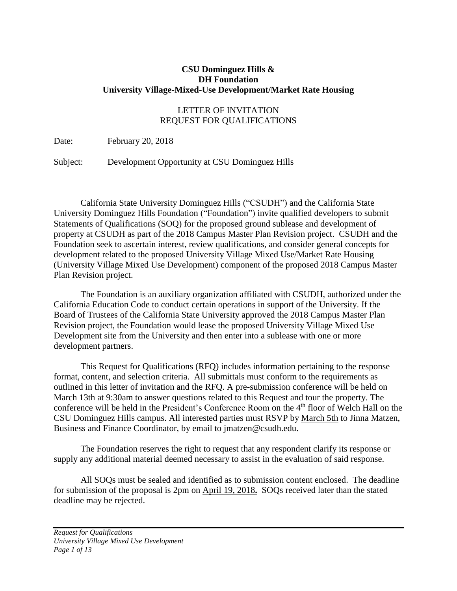#### **CSU Dominguez Hills & DH Foundation University Village-Mixed-Use Development/Market Rate Housing**

## LETTER OF INVITATION REQUEST FOR QUALIFICATIONS

Date: February 20, 2018

Subject: Development Opportunity at CSU Dominguez Hills

California State University Dominguez Hills ("CSUDH") and the California State University Dominguez Hills Foundation ("Foundation") invite qualified developers to submit Statements of Qualifications (SOQ) for the proposed ground sublease and development of property at CSUDH as part of the 2018 Campus Master Plan Revision project. CSUDH and the Foundation seek to ascertain interest, review qualifications, and consider general concepts for development related to the proposed University Village Mixed Use/Market Rate Housing (University Village Mixed Use Development) component of the proposed 2018 Campus Master Plan Revision project.

The Foundation is an auxiliary organization affiliated with CSUDH, authorized under the California Education Code to conduct certain operations in support of the University. If the Board of Trustees of the California State University approved the 2018 Campus Master Plan Revision project, the Foundation would lease the proposed University Village Mixed Use Development site from the University and then enter into a sublease with one or more development partners.

This Request for Qualifications (RFQ) includes information pertaining to the response format, content, and selection criteria. All submittals must conform to the requirements as outlined in this letter of invitation and the RFQ. A pre-submission conference will be held on March 13th at 9:30am to answer questions related to this Request and tour the property. The conference will be held in the President's Conference Room on the 4<sup>th</sup> floor of Welch Hall on the CSU Dominguez Hills campus. All interested parties must RSVP by March 5th to Jinna Matzen, Business and Finance Coordinator, by email to jmatzen@csudh.edu.

The Foundation reserves the right to request that any respondent clarify its response or supply any additional material deemed necessary to assist in the evaluation of said response.

All SOQs must be sealed and identified as to submission content enclosed. The deadline for submission of the proposal is 2pm on April 19, 2018**.** SOQs received later than the stated deadline may be rejected.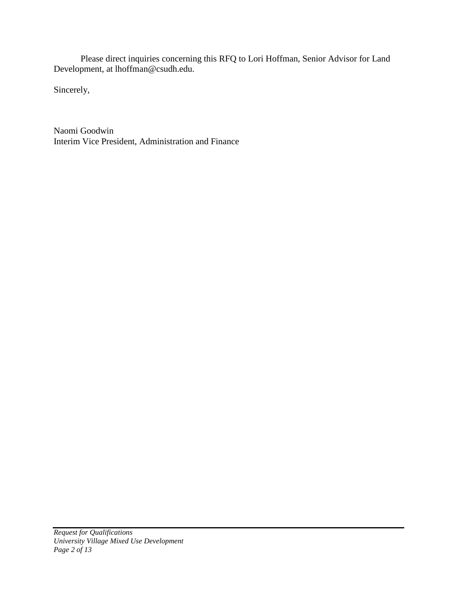Please direct inquiries concerning this RFQ to Lori Hoffman, Senior Advisor for Land Development, at lhoffman@csudh.edu.

Sincerely,

Naomi Goodwin Interim Vice President, Administration and Finance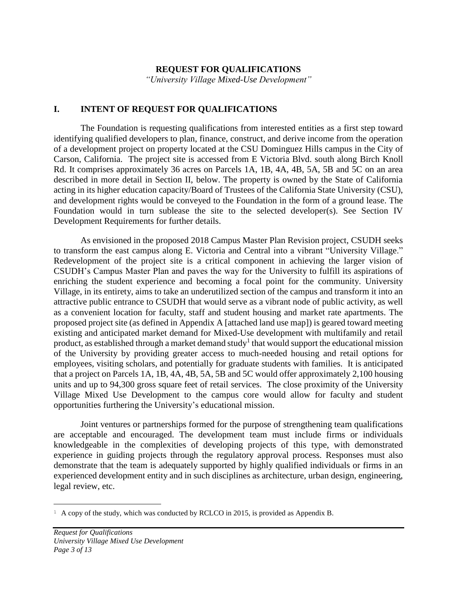#### **REQUEST FOR QUALIFICATIONS**

*"University Village Mixed-Use Development"*

#### **I. INTENT OF REQUEST FOR QUALIFICATIONS**

The Foundation is requesting qualifications from interested entities as a first step toward identifying qualified developers to plan, finance, construct, and derive income from the operation of a development project on property located at the CSU Dominguez Hills campus in the City of Carson, California. The project site is accessed from E Victoria Blvd. south along Birch Knoll Rd. It comprises approximately 36 acres on Parcels 1A, 1B, 4A, 4B, 5A, 5B and 5C on an area described in more detail in Section II, below. The property is owned by the State of California acting in its higher education capacity/Board of Trustees of the California State University (CSU), and development rights would be conveyed to the Foundation in the form of a ground lease. The Foundation would in turn sublease the site to the selected developer(s). See Section IV Development Requirements for further details.

As envisioned in the proposed 2018 Campus Master Plan Revision project, CSUDH seeks to transform the east campus along E. Victoria and Central into a vibrant "University Village." Redevelopment of the project site is a critical component in achieving the larger vision of CSUDH's Campus Master Plan and paves the way for the University to fulfill its aspirations of enriching the student experience and becoming a focal point for the community. University Village, in its entirety, aims to take an underutilized section of the campus and transform it into an attractive public entrance to CSUDH that would serve as a vibrant node of public activity, as well as a convenient location for faculty, staff and student housing and market rate apartments. The proposed project site (as defined in Appendix A [attached land use map]) is geared toward meeting existing and anticipated market demand for Mixed-Use development with multifamily and retail product, as established through a market demand study<sup>1</sup> that would support the educational mission of the University by providing greater access to much-needed housing and retail options for employees, visiting scholars, and potentially for graduate students with families. It is anticipated that a project on Parcels 1A, 1B, 4A, 4B, 5A, 5B and 5C would offer approximately 2,100 housing units and up to 94,300 gross square feet of retail services. The close proximity of the University Village Mixed Use Development to the campus core would allow for faculty and student opportunities furthering the University's educational mission.

Joint ventures or partnerships formed for the purpose of strengthening team qualifications are acceptable and encouraged. The development team must include firms or individuals knowledgeable in the complexities of developing projects of this type, with demonstrated experience in guiding projects through the regulatory approval process. Responses must also demonstrate that the team is adequately supported by highly qualified individuals or firms in an experienced development entity and in such disciplines as architecture, urban design, engineering, legal review, etc.

a<br>B

<sup>&</sup>lt;sup>1</sup> A copy of the study, which was conducted by RCLCO in 2015, is provided as Appendix B.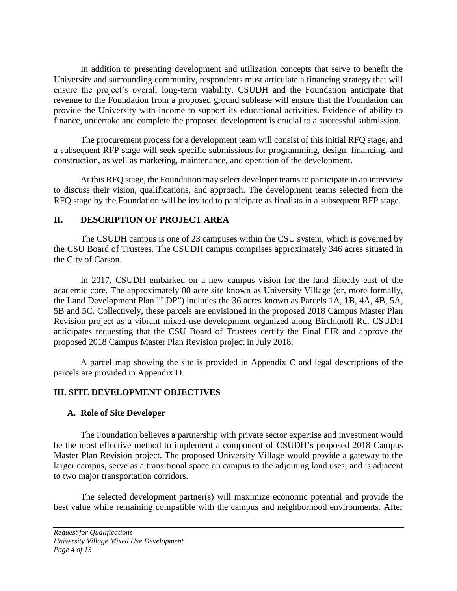In addition to presenting development and utilization concepts that serve to benefit the University and surrounding community, respondents must articulate a financing strategy that will ensure the project's overall long-term viability. CSUDH and the Foundation anticipate that revenue to the Foundation from a proposed ground sublease will ensure that the Foundation can provide the University with income to support its educational activities. Evidence of ability to finance, undertake and complete the proposed development is crucial to a successful submission.

The procurement process for a development team will consist of this initial RFQ stage, and a subsequent RFP stage will seek specific submissions for programming, design, financing, and construction, as well as marketing, maintenance, and operation of the development.

At this RFQ stage, the Foundation may select developer teams to participate in an interview to discuss their vision, qualifications, and approach. The development teams selected from the RFQ stage by the Foundation will be invited to participate as finalists in a subsequent RFP stage.

### **II. DESCRIPTION OF PROJECT AREA**

The CSUDH campus is one of 23 campuses within the CSU system, which is governed by the CSU Board of Trustees. The CSUDH campus comprises approximately 346 acres situated in the City of Carson.

In 2017, CSUDH embarked on a new campus vision for the land directly east of the academic core. The approximately 80 acre site known as University Village (or, more formally, the Land Development Plan "LDP") includes the 36 acres known as Parcels 1A, 1B, 4A, 4B, 5A, 5B and 5C. Collectively, these parcels are envisioned in the proposed 2018 Campus Master Plan Revision project as a vibrant mixed-use development organized along Birchknoll Rd. CSUDH anticipates requesting that the CSU Board of Trustees certify the Final EIR and approve the proposed 2018 Campus Master Plan Revision project in July 2018.

A parcel map showing the site is provided in Appendix C and legal descriptions of the parcels are provided in Appendix D.

### **III. SITE DEVELOPMENT OBJECTIVES**

#### **A. Role of Site Developer**

The Foundation believes a partnership with private sector expertise and investment would be the most effective method to implement a component of CSUDH's proposed 2018 Campus Master Plan Revision project. The proposed University Village would provide a gateway to the larger campus, serve as a transitional space on campus to the adjoining land uses, and is adjacent to two major transportation corridors.

The selected development partner(s) will maximize economic potential and provide the best value while remaining compatible with the campus and neighborhood environments. After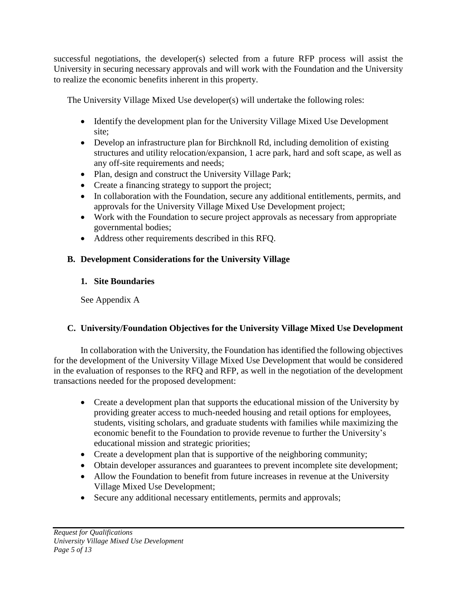successful negotiations, the developer(s) selected from a future RFP process will assist the University in securing necessary approvals and will work with the Foundation and the University to realize the economic benefits inherent in this property.

The University Village Mixed Use developer(s) will undertake the following roles:

- Identify the development plan for the University Village Mixed Use Development site;
- Develop an infrastructure plan for Birchknoll Rd, including demolition of existing structures and utility relocation/expansion, 1 acre park, hard and soft scape, as well as any off-site requirements and needs;
- Plan, design and construct the University Village Park;
- Create a financing strategy to support the project;
- In collaboration with the Foundation, secure any additional entitlements, permits, and approvals for the University Village Mixed Use Development project;
- Work with the Foundation to secure project approvals as necessary from appropriate governmental bodies;
- Address other requirements described in this RFQ.

# **B. Development Considerations for the University Village**

# **1. Site Boundaries**

See Appendix A

# **C. University/Foundation Objectives for the University Village Mixed Use Development**

In collaboration with the University, the Foundation has identified the following objectives for the development of the University Village Mixed Use Development that would be considered in the evaluation of responses to the RFQ and RFP, as well in the negotiation of the development transactions needed for the proposed development:

- Create a development plan that supports the educational mission of the University by providing greater access to much-needed housing and retail options for employees, students, visiting scholars, and graduate students with families while maximizing the economic benefit to the Foundation to provide revenue to further the University's educational mission and strategic priorities;
- Create a development plan that is supportive of the neighboring community;
- Obtain developer assurances and guarantees to prevent incomplete site development;
- Allow the Foundation to benefit from future increases in revenue at the University Village Mixed Use Development;
- Secure any additional necessary entitlements, permits and approvals;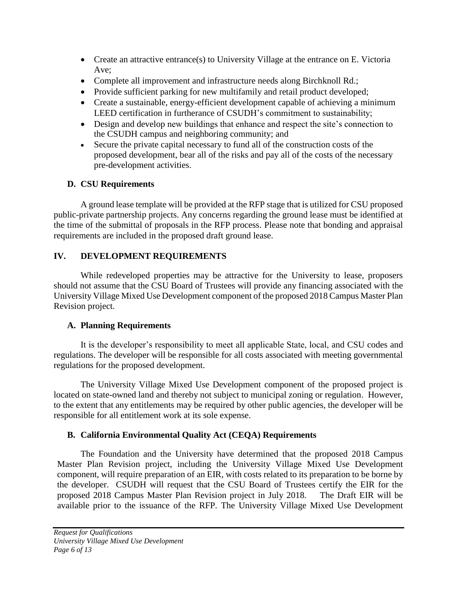- Create an attractive entrance(s) to University Village at the entrance on E. Victoria Ave;
- Complete all improvement and infrastructure needs along Birchknoll Rd.;
- Provide sufficient parking for new multifamily and retail product developed;
- Create a sustainable, energy-efficient development capable of achieving a minimum LEED certification in furtherance of CSUDH's commitment to sustainability;
- Design and develop new buildings that enhance and respect the site's connection to the CSUDH campus and neighboring community; and
- Secure the private capital necessary to fund all of the construction costs of the proposed development, bear all of the risks and pay all of the costs of the necessary pre-development activities.

# **D. CSU Requirements**

A ground lease template will be provided at the RFP stage that is utilized for CSU proposed public-private partnership projects. Any concerns regarding the ground lease must be identified at the time of the submittal of proposals in the RFP process. Please note that bonding and appraisal requirements are included in the proposed draft ground lease.

# **IV. DEVELOPMENT REQUIREMENTS**

While redeveloped properties may be attractive for the University to lease, proposers should not assume that the CSU Board of Trustees will provide any financing associated with the University Village Mixed Use Development component of the proposed 2018 Campus Master Plan Revision project.

# **A. Planning Requirements**

It is the developer's responsibility to meet all applicable State, local, and CSU codes and regulations. The developer will be responsible for all costs associated with meeting governmental regulations for the proposed development.

The University Village Mixed Use Development component of the proposed project is located on state-owned land and thereby not subject to municipal zoning or regulation. However, to the extent that any entitlements may be required by other public agencies, the developer will be responsible for all entitlement work at its sole expense.

# **B. California Environmental Quality Act (CEQA) Requirements**

The Foundation and the University have determined that the proposed 2018 Campus Master Plan Revision project, including the University Village Mixed Use Development component, will require preparation of an EIR, with costs related to its preparation to be borne by the developer. CSUDH will request that the CSU Board of Trustees certify the EIR for the proposed 2018 Campus Master Plan Revision project in July 2018. The Draft EIR will be available prior to the issuance of the RFP. The University Village Mixed Use Development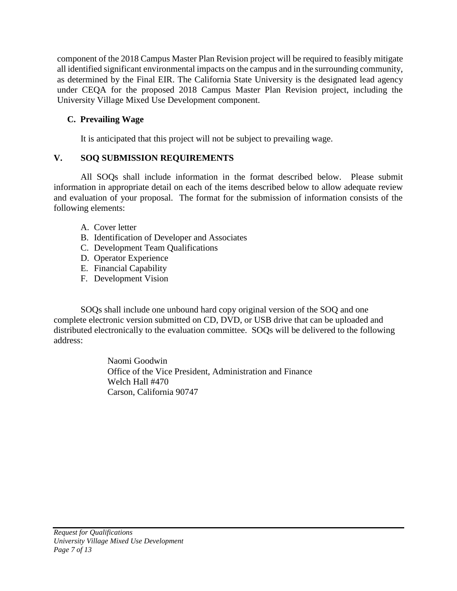component of the 2018 Campus Master Plan Revision project will be required to feasibly mitigate all identified significant environmental impacts on the campus and in the surrounding community, as determined by the Final EIR. The California State University is the designated lead agency under CEQA for the proposed 2018 Campus Master Plan Revision project, including the University Village Mixed Use Development component.

# **C. Prevailing Wage**

It is anticipated that this project will not be subject to prevailing wage.

# **V. SOQ SUBMISSION REQUIREMENTS**

All SOQs shall include information in the format described below. Please submit information in appropriate detail on each of the items described below to allow adequate review and evaluation of your proposal. The format for the submission of information consists of the following elements:

- A. Cover letter
- B. Identification of Developer and Associates
- C. Development Team Qualifications
- D. Operator Experience
- E. Financial Capability
- F. Development Vision

SOQs shall include one unbound hard copy original version of the SOQ and one complete electronic version submitted on CD, DVD, or USB drive that can be uploaded and distributed electronically to the evaluation committee. SOQs will be delivered to the following address:

> Naomi Goodwin Office of the Vice President, Administration and Finance Welch Hall #470 Carson, California 90747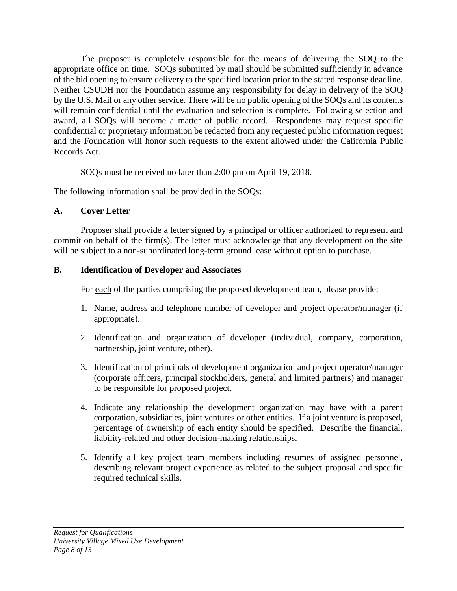The proposer is completely responsible for the means of delivering the SOQ to the appropriate office on time. SOQs submitted by mail should be submitted sufficiently in advance of the bid opening to ensure delivery to the specified location prior to the stated response deadline. Neither CSUDH nor the Foundation assume any responsibility for delay in delivery of the SOQ by the U.S. Mail or any other service. There will be no public opening of the SOQs and its contents will remain confidential until the evaluation and selection is complete. Following selection and award, all SOQs will become a matter of public record. Respondents may request specific confidential or proprietary information be redacted from any requested public information request and the Foundation will honor such requests to the extent allowed under the California Public Records Act.

SOQs must be received no later than 2:00 pm on April 19, 2018.

The following information shall be provided in the SOQs:

# **A. Cover Letter**

Proposer shall provide a letter signed by a principal or officer authorized to represent and commit on behalf of the firm(s). The letter must acknowledge that any development on the site will be subject to a non-subordinated long-term ground lease without option to purchase.

# **B. Identification of Developer and Associates**

For each of the parties comprising the proposed development team, please provide:

- 1. Name, address and telephone number of developer and project operator/manager (if appropriate).
- 2. Identification and organization of developer (individual, company, corporation, partnership, joint venture, other).
- 3. Identification of principals of development organization and project operator/manager (corporate officers, principal stockholders, general and limited partners) and manager to be responsible for proposed project.
- 4. Indicate any relationship the development organization may have with a parent corporation, subsidiaries, joint ventures or other entities. If a joint venture is proposed, percentage of ownership of each entity should be specified. Describe the financial, liability-related and other decision-making relationships.
- 5. Identify all key project team members including resumes of assigned personnel, describing relevant project experience as related to the subject proposal and specific required technical skills.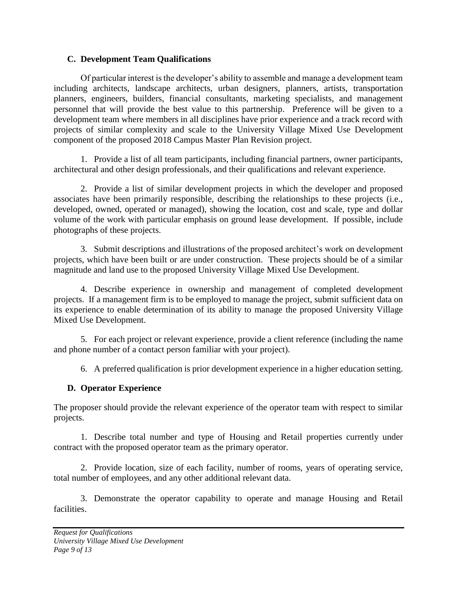## **C. Development Team Qualifications**

Of particular interest is the developer's ability to assemble and manage a development team including architects, landscape architects, urban designers, planners, artists, transportation planners, engineers, builders, financial consultants, marketing specialists, and management personnel that will provide the best value to this partnership. Preference will be given to a development team where members in all disciplines have prior experience and a track record with projects of similar complexity and scale to the University Village Mixed Use Development component of the proposed 2018 Campus Master Plan Revision project.

1. Provide a list of all team participants, including financial partners, owner participants, architectural and other design professionals, and their qualifications and relevant experience.

2. Provide a list of similar development projects in which the developer and proposed associates have been primarily responsible, describing the relationships to these projects (i.e., developed, owned, operated or managed), showing the location, cost and scale, type and dollar volume of the work with particular emphasis on ground lease development. If possible, include photographs of these projects.

3. Submit descriptions and illustrations of the proposed architect's work on development projects, which have been built or are under construction. These projects should be of a similar magnitude and land use to the proposed University Village Mixed Use Development.

4. Describe experience in ownership and management of completed development projects. If a management firm is to be employed to manage the project, submit sufficient data on its experience to enable determination of its ability to manage the proposed University Village Mixed Use Development.

5. For each project or relevant experience, provide a client reference (including the name and phone number of a contact person familiar with your project).

6. A preferred qualification is prior development experience in a higher education setting.

# **D. Operator Experience**

The proposer should provide the relevant experience of the operator team with respect to similar projects.

1. Describe total number and type of Housing and Retail properties currently under contract with the proposed operator team as the primary operator.

2. Provide location, size of each facility, number of rooms, years of operating service, total number of employees, and any other additional relevant data.

3. Demonstrate the operator capability to operate and manage Housing and Retail facilities.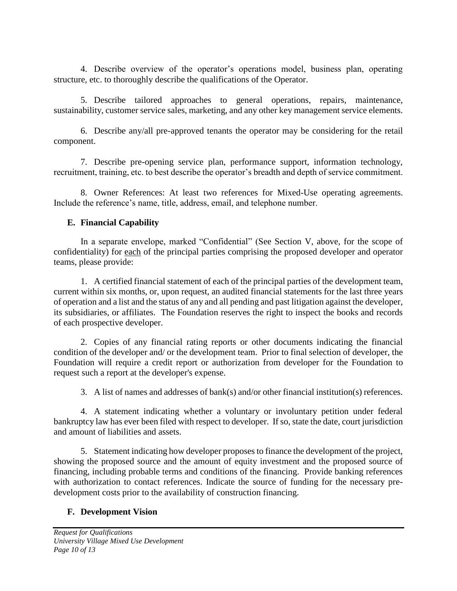4. Describe overview of the operator's operations model, business plan, operating structure, etc. to thoroughly describe the qualifications of the Operator.

5. Describe tailored approaches to general operations, repairs, maintenance, sustainability, customer service sales, marketing, and any other key management service elements.

6. Describe any/all pre-approved tenants the operator may be considering for the retail component.

7. Describe pre-opening service plan, performance support, information technology, recruitment, training, etc. to best describe the operator's breadth and depth of service commitment.

8. Owner References: At least two references for Mixed-Use operating agreements. Include the reference's name, title, address, email, and telephone number.

# **E. Financial Capability**

In a separate envelope, marked "Confidential" (See Section V, above, for the scope of confidentiality) for each of the principal parties comprising the proposed developer and operator teams, please provide:

1. A certified financial statement of each of the principal parties of the development team, current within six months, or, upon request, an audited financial statements for the last three years of operation and a list and the status of any and all pending and past litigation against the developer, its subsidiaries, or affiliates. The Foundation reserves the right to inspect the books and records of each prospective developer.

2. Copies of any financial rating reports or other documents indicating the financial condition of the developer and/ or the development team. Prior to final selection of developer, the Foundation will require a credit report or authorization from developer for the Foundation to request such a report at the developer's expense.

3. A list of names and addresses of bank(s) and/or other financial institution(s) references.

4. A statement indicating whether a voluntary or involuntary petition under federal bankruptcy law has ever been filed with respect to developer. If so, state the date, court jurisdiction and amount of liabilities and assets.

5. Statement indicating how developer proposes to finance the development of the project, showing the proposed source and the amount of equity investment and the proposed source of financing, including probable terms and conditions of the financing. Provide banking references with authorization to contact references. Indicate the source of funding for the necessary predevelopment costs prior to the availability of construction financing.

# **F. Development Vision**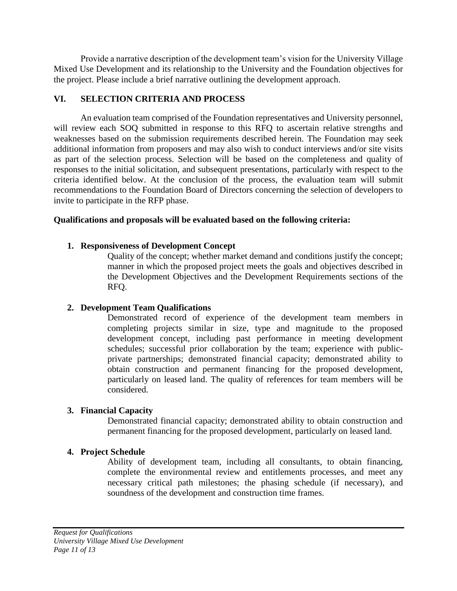Provide a narrative description of the development team's vision for the University Village Mixed Use Development and its relationship to the University and the Foundation objectives for the project. Please include a brief narrative outlining the development approach.

## **VI. SELECTION CRITERIA AND PROCESS**

An evaluation team comprised of the Foundation representatives and University personnel, will review each SOO submitted in response to this RFO to ascertain relative strengths and weaknesses based on the submission requirements described herein. The Foundation may seek additional information from proposers and may also wish to conduct interviews and/or site visits as part of the selection process. Selection will be based on the completeness and quality of responses to the initial solicitation, and subsequent presentations, particularly with respect to the criteria identified below. At the conclusion of the process, the evaluation team will submit recommendations to the Foundation Board of Directors concerning the selection of developers to invite to participate in the RFP phase.

## **Qualifications and proposals will be evaluated based on the following criteria:**

## **1. Responsiveness of Development Concept**

Quality of the concept; whether market demand and conditions justify the concept; manner in which the proposed project meets the goals and objectives described in the Development Objectives and the Development Requirements sections of the RFQ.

### **2. Development Team Qualifications**

Demonstrated record of experience of the development team members in completing projects similar in size, type and magnitude to the proposed development concept, including past performance in meeting development schedules; successful prior collaboration by the team; experience with publicprivate partnerships; demonstrated financial capacity; demonstrated ability to obtain construction and permanent financing for the proposed development, particularly on leased land. The quality of references for team members will be considered.

# **3. Financial Capacity**

Demonstrated financial capacity; demonstrated ability to obtain construction and permanent financing for the proposed development, particularly on leased land.

# **4. Project Schedule**

Ability of development team, including all consultants, to obtain financing, complete the environmental review and entitlements processes, and meet any necessary critical path milestones; the phasing schedule (if necessary), and soundness of the development and construction time frames.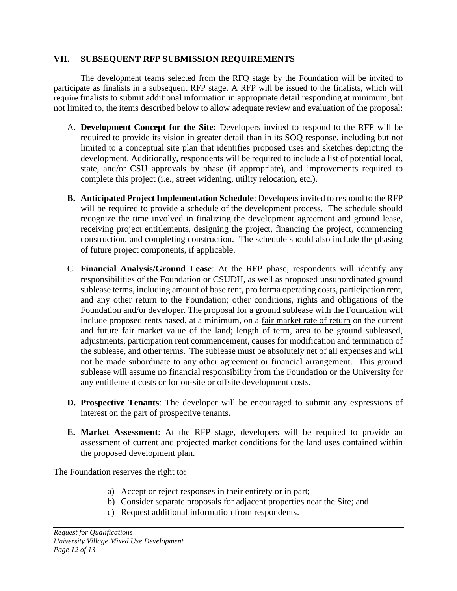#### **VII. SUBSEQUENT RFP SUBMISSION REQUIREMENTS**

The development teams selected from the RFQ stage by the Foundation will be invited to participate as finalists in a subsequent RFP stage. A RFP will be issued to the finalists, which will require finalists to submit additional information in appropriate detail responding at minimum, but not limited to, the items described below to allow adequate review and evaluation of the proposal:

- A. **Development Concept for the Site:** Developers invited to respond to the RFP will be required to provide its vision in greater detail than in its SOQ response, including but not limited to a conceptual site plan that identifies proposed uses and sketches depicting the development. Additionally, respondents will be required to include a list of potential local, state, and/or CSU approvals by phase (if appropriate), and improvements required to complete this project (i.e., street widening, utility relocation, etc.).
- **B. Anticipated Project Implementation Schedule**: Developers invited to respond to the RFP will be required to provide a schedule of the development process. The schedule should recognize the time involved in finalizing the development agreement and ground lease, receiving project entitlements, designing the project, financing the project, commencing construction, and completing construction. The schedule should also include the phasing of future project components, if applicable.
- C. **Financial Analysis/Ground Lease**: At the RFP phase, respondents will identify any responsibilities of the Foundation or CSUDH, as well as proposed unsubordinated ground sublease terms, including amount of base rent, pro forma operating costs, participation rent, and any other return to the Foundation; other conditions, rights and obligations of the Foundation and/or developer. The proposal for a ground sublease with the Foundation will include proposed rents based, at a minimum, on a fair market rate of return on the current and future fair market value of the land; length of term, area to be ground subleased, adjustments, participation rent commencement, causes for modification and termination of the sublease, and other terms. The sublease must be absolutely net of all expenses and will not be made subordinate to any other agreement or financial arrangement. This ground sublease will assume no financial responsibility from the Foundation or the University for any entitlement costs or for on-site or offsite development costs.
- **D. Prospective Tenants**: The developer will be encouraged to submit any expressions of interest on the part of prospective tenants.
- **E. Market Assessment**: At the RFP stage, developers will be required to provide an assessment of current and projected market conditions for the land uses contained within the proposed development plan.

The Foundation reserves the right to:

- a) Accept or reject responses in their entirety or in part;
- b) Consider separate proposals for adjacent properties near the Site; and
- c) Request additional information from respondents.